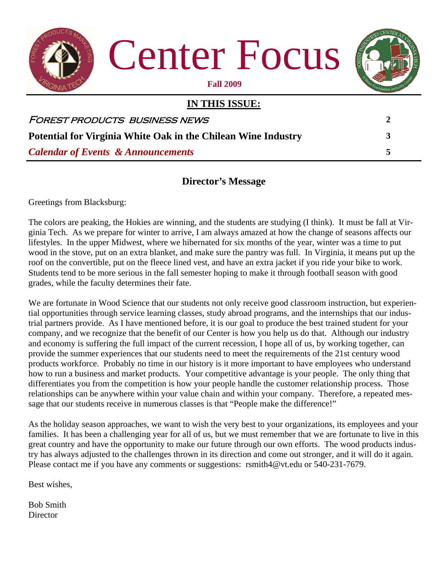

#### **Director's Message**

Greetings from Blacksburg:

The colors are peaking, the Hokies are winning, and the students are studying (I think). It must be fall at Virginia Tech. As we prepare for winter to arrive, I am always amazed at how the change of seasons affects our lifestyles. In the upper Midwest, where we hibernated for six months of the year, winter was a time to put wood in the stove, put on an extra blanket, and make sure the pantry was full. In Virginia, it means put up the roof on the convertible, put on the fleece lined vest, and have an extra jacket if you ride your bike to work. Students tend to be more serious in the fall semester hoping to make it through football season with good grades, while the faculty determines their fate.

We are fortunate in Wood Science that our students not only receive good classroom instruction, but experiential opportunities through service learning classes, study abroad programs, and the internships that our industrial partners provide. As I have mentioned before, it is our goal to produce the best trained student for your company, and we recognize that the benefit of our Center is how you help us do that. Although our industry and economy is suffering the full impact of the current recession, I hope all of us, by working together, can provide the summer experiences that our students need to meet the requirements of the 21st century wood products workforce. Probably no time in our history is it more important to have employees who understand how to run a business and market products. Your competitive advantage is your people. The only thing that differentiates you from the competition is how your people handle the customer relationship process. Those relationships can be anywhere within your value chain and within your company. Therefore, a repeated message that our students receive in numerous classes is that "People make the difference!"

As the holiday season approaches, we want to wish the very best to your organizations, its employees and your families. It has been a challenging year for all of us, but we must remember that we are fortunate to live in this great country and have the opportunity to make our future through our own efforts. The wood products industry has always adjusted to the challenges thrown in its direction and come out stronger, and it will do it again. Please contact me if you have any comments or suggestions: rsmith4@vt.edu or 540-231-7679.

Best wishes,

Bob Smith Director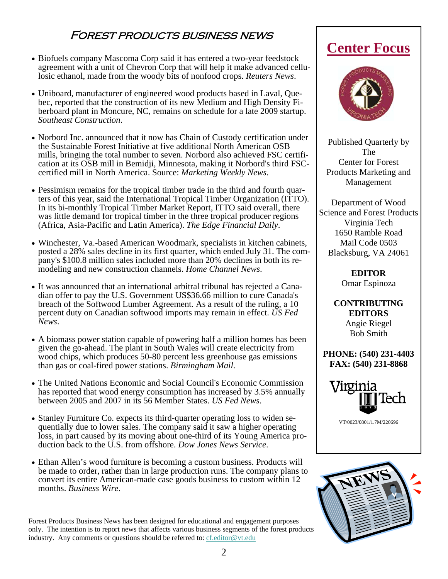### Forest products business news

- Biofuels company Mascoma Corp said it has entered a two-year feedstock agreement with a unit of Chevron Corp that will help it make advanced cellulosic ethanol, made from the woody bits of nonfood crops. *Reuters News*.
- Uniboard, manufacturer of engineered wood products based in Laval, Quebec, reported that the construction of its new Medium and High Density Fiberboard plant in Moncure, NC, remains on schedule for a late 2009 startup. *Southeast Construction*.
- Norbord Inc. announced that it now has Chain of Custody certification under the Sustainable Forest Initiative at five additional North American OSB mills, bringing the total number to seven. Norbord also achieved FSC certification at its OSB mill in Bemidji, Minnesota, making it Norbord's third FSCcertified mill in North America. Source: *Marketing Weekly News*.
- Pessimism remains for the tropical timber trade in the third and fourth quarters of this year, said the International Tropical Timber Organization (ITTO). In its bi-monthly Tropical Timber Market Report, ITTO said overall, there was little demand for tropical timber in the three tropical producer regions (Africa, Asia-Pacific and Latin America). *The Edge Financial Daily*.
- Winchester, Va.-based American Woodmark, specialists in kitchen cabinets, posted a 28% sales decline in its first quarter, which ended July 31. The company's \$100.8 million sales included more than 20% declines in both its remodeling and new construction channels. *Home Channel News*.
- It was announced that an international arbitral tribunal has rejected a Canadian offer to pay the U.S. Government US\$36.66 million to cure Canada's breach of the Softwood Lumber Agreement. As a result of the ruling, a 10 percent duty on Canadian softwood imports may remain in effect. *US Fed News*.
- A biomass power station capable of powering half a million homes has been given the go-ahead. The plant in South Wales will create electricity from wood chips, which produces 50-80 percent less greenhouse gas emissions than gas or coal-fired power stations. *Birmingham Mail*.
- The United Nations Economic and Social Council's Economic Commission has reported that wood energy consumption has increased by 3.5% annually between 2005 and 2007 in its 56 Member States. *US Fed News*.
- Stanley Furniture Co. expects its third-quarter operating loss to widen sequentially due to lower sales. The company said it saw a higher operating loss, in part caused by its moving about one-third of its Young America production back to the U.S. from offshore. *Dow Jones News Service*.
- Ethan Allen's wood furniture is becoming a custom business. Products will be made to order, rather than in large production runs. The company plans to convert its entire American-made case goods business to custom within 12 months. *Business Wire*.

Forest Products Business News has been designed for educational and engagement purposes only. The intention is to report news that affects various business segments of the forest products industry. Any comments or questions should be referred to: cf.editor@vt.edu

## **Center Focus**



Published Quarterly by The Center for Forest Products Marketing and Management

Department of Wood Science and Forest Products Virginia Tech 1650 Ramble Road Mail Code 0503 Blacksburg, VA 24061

> **EDITOR**  Omar Espinoza

**CONTRIBUTING EDITORS**  Angie Riegel Bob Smith

**PHONE: (540) 231-4403 FAX: (540) 231-8868** 



VT/0023/0801/1.7M/220696

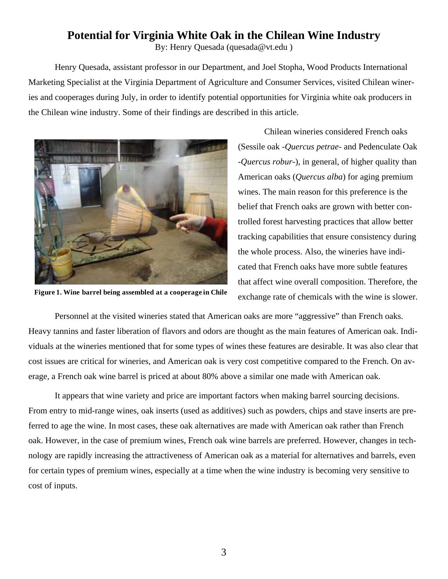### **Potential for Virginia White Oak in the Chilean Wine Industry**

By: Henry Quesada (quesada@vt.edu )

Henry Quesada, assistant professor in our Department, and Joel Stopha, Wood Products International Marketing Specialist at the Virginia Department of Agriculture and Consumer Services, visited Chilean wineries and cooperages during July, in order to identify potential opportunities for Virginia white oak producers in the Chilean wine industry. Some of their findings are described in this article.



**Figure 1. Wine barrel being assembled at a cooperage in Chile** 

 Chilean wineries considered French oaks (Sessile oak -*Quercus petrae*- and Pedenculate Oak -*Quercus robur*-), in general, of higher quality than American oaks (*Quercus alba*) for aging premium wines. The main reason for this preference is the belief that French oaks are grown with better controlled forest harvesting practices that allow better tracking capabilities that ensure consistency during the whole process. Also, the wineries have indicated that French oaks have more subtle features that affect wine overall composition. Therefore, the exchange rate of chemicals with the wine is slower.

Personnel at the visited wineries stated that American oaks are more "aggressive" than French oaks. Heavy tannins and faster liberation of flavors and odors are thought as the main features of American oak. Individuals at the wineries mentioned that for some types of wines these features are desirable. It was also clear that cost issues are critical for wineries, and American oak is very cost competitive compared to the French. On average, a French oak wine barrel is priced at about 80% above a similar one made with American oak.

It appears that wine variety and price are important factors when making barrel sourcing decisions. From entry to mid-range wines, oak inserts (used as additives) such as powders, chips and stave inserts are preferred to age the wine. In most cases, these oak alternatives are made with American oak rather than French oak. However, in the case of premium wines, French oak wine barrels are preferred. However, changes in technology are rapidly increasing the attractiveness of American oak as a material for alternatives and barrels, even for certain types of premium wines, especially at a time when the wine industry is becoming very sensitive to cost of inputs.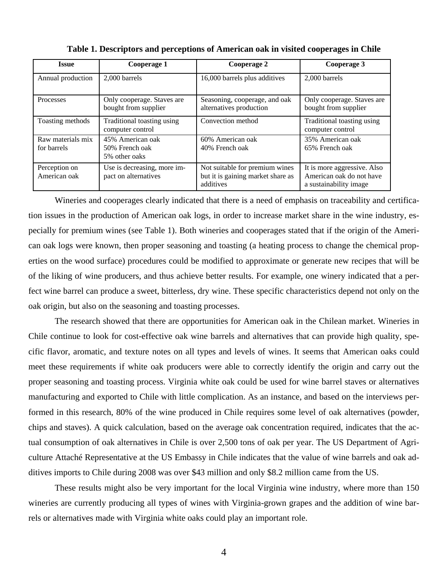| Issue                            | Cooperage 1                                         | Cooperage 2                                                                      | Cooperage 3                                                                       |
|----------------------------------|-----------------------------------------------------|----------------------------------------------------------------------------------|-----------------------------------------------------------------------------------|
| Annual production                | 2,000 barrels                                       | 16,000 barrels plus additives                                                    | 2,000 barrels                                                                     |
| Processes                        | Only cooperage. Staves are<br>bought from supplier  | Seasoning, cooperage, and oak<br>alternatives production                         | Only cooperage. Staves are<br>bought from supplier                                |
| Toasting methods                 | Traditional toasting using<br>computer control      | Convection method                                                                | Traditional toasting using<br>computer control                                    |
| Raw materials mix<br>for barrels | 45% American oak<br>50% French oak<br>5% other oaks | 60% American oak<br>40% French oak                                               | 35% American oak<br>65% French oak                                                |
| Perception on<br>American oak    | Use is decreasing, more im-<br>pact on alternatives | Not suitable for premium wines<br>but it is gaining market share as<br>additives | It is more aggressive. Also<br>American oak do not have<br>a sustainability image |

**Table 1. Descriptors and perceptions of American oak in visited cooperages in Chile** 

Wineries and cooperages clearly indicated that there is a need of emphasis on traceability and certification issues in the production of American oak logs, in order to increase market share in the wine industry, especially for premium wines (see Table 1). Both wineries and cooperages stated that if the origin of the American oak logs were known, then proper seasoning and toasting (a heating process to change the chemical properties on the wood surface) procedures could be modified to approximate or generate new recipes that will be of the liking of wine producers, and thus achieve better results. For example, one winery indicated that a perfect wine barrel can produce a sweet, bitterless, dry wine. These specific characteristics depend not only on the oak origin, but also on the seasoning and toasting processes.

The research showed that there are opportunities for American oak in the Chilean market. Wineries in Chile continue to look for cost-effective oak wine barrels and alternatives that can provide high quality, specific flavor, aromatic, and texture notes on all types and levels of wines. It seems that American oaks could meet these requirements if white oak producers were able to correctly identify the origin and carry out the proper seasoning and toasting process. Virginia white oak could be used for wine barrel staves or alternatives manufacturing and exported to Chile with little complication. As an instance, and based on the interviews performed in this research, 80% of the wine produced in Chile requires some level of oak alternatives (powder, chips and staves). A quick calculation, based on the average oak concentration required, indicates that the actual consumption of oak alternatives in Chile is over 2,500 tons of oak per year. The US Department of Agriculture Attaché Representative at the US Embassy in Chile indicates that the value of wine barrels and oak additives imports to Chile during 2008 was over \$43 million and only \$8.2 million came from the US.

These results might also be very important for the local Virginia wine industry, where more than 150 wineries are currently producing all types of wines with Virginia-grown grapes and the addition of wine barrels or alternatives made with Virginia white oaks could play an important role.